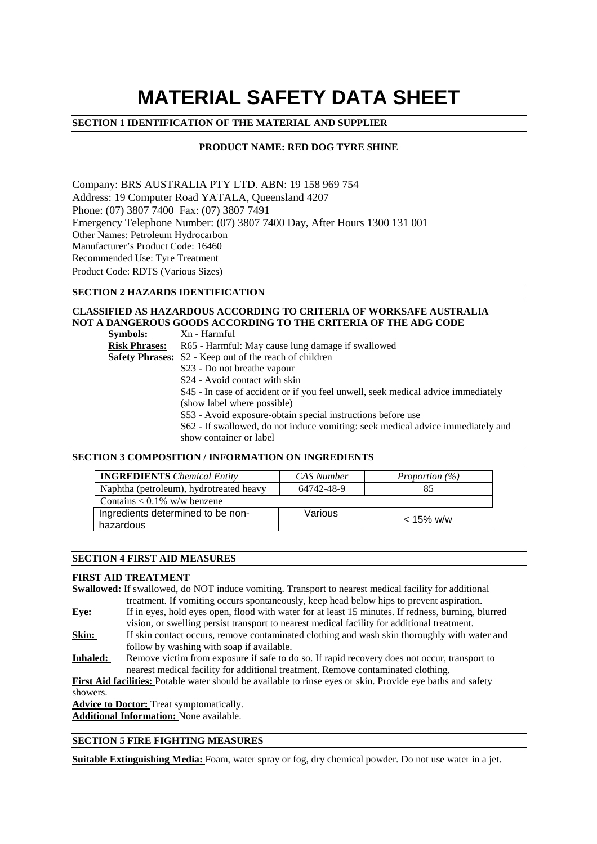# **MATERIAL SAFETY DATA SHEET**

## **SECTION 1 IDENTIFICATION OF THE MATERIAL AND SUPPLIER**

# **PRODUCT NAME: RED DOG TYRE SHINE**

Company: BRS AUSTRALIA PTY LTD. ABN: 19 158 969 754 Address: 19 Computer Road YATALA, Queensland 4207 Phone: (07) 3807 7400 Fax: (07) 3807 7491 Emergency Telephone Number: (07) 3807 7400 Day, After Hours 1300 131 001 Other Names: Petroleum Hydrocarbon Manufacturer's Product Code: 16460 Recommended Use: Tyre Treatment Product Code: RDTS (Various Sizes)

# **SECTION 2 HAZARDS IDENTIFICATION**

## **CLASSIFIED AS HAZARDOUS ACCORDING TO CRITERIA OF WORKSAFE AUSTRALIA NOT A DANGEROUS GOODS ACCORDING TO THE CRITERIA OF THE ADG CODE**

| Symbols:                                                  | Xn - Harmful                                                                     |  |  |  |
|-----------------------------------------------------------|----------------------------------------------------------------------------------|--|--|--|
| <b>Risk Phrases:</b>                                      | R65 - Harmful: May cause lung damage if swallowed                                |  |  |  |
|                                                           | <b>Safety Phrases:</b> S2 - Keep out of the reach of children                    |  |  |  |
|                                                           | S23 - Do not breathe vapour                                                      |  |  |  |
|                                                           | S <sub>24</sub> - Avoid contact with skin                                        |  |  |  |
|                                                           | S45 - In case of accident or if you feel unwell, seek medical advice immediately |  |  |  |
|                                                           | (show label where possible)                                                      |  |  |  |
|                                                           | S53 - Avoid exposure-obtain special instructions before use                      |  |  |  |
|                                                           | S62 - If swallowed, do not induce vomiting: seek medical advice immediately and  |  |  |  |
|                                                           | show container or label                                                          |  |  |  |
| <b>SECTION 3 COMPOSITION / INFORMATION ON INGREDIENTS</b> |                                                                                  |  |  |  |

## **INGREDIENTS** *Chemical Entity CAS Number Proportion (%)*  Naphtha (petroleum), hydrotreated heavy 64742-48-9 85 Contains  $< 0.1\%$  w/w benzene Ingredients determined to be nonhazardous Various  $\vert$  < 15% w/w

## **SECTION 4 FIRST AID MEASURES**

## **FIRST AID TREATMENT**

**Swallowed:** If swallowed, do NOT induce vomiting. Transport to nearest medical facility for additional treatment. If vomiting occurs spontaneously, keep head below hips to prevent aspiration. **Eye:** If in eyes, hold eyes open, flood with water for at least 15 minutes. If redness, burning, blurred vision, or swelling persist transport to nearest medical facility for additional treatment. **Skin:** If skin contact occurs, remove contaminated clothing and wash skin thoroughly with water and

- follow by washing with soap if available.
- **Inhaled:** Remove victim from exposure if safe to do so. If rapid recovery does not occur, transport to nearest medical facility for additional treatment. Remove contaminated clothing.

**First Aid facilities:** Potable water should be available to rinse eyes or skin. Provide eye baths and safety showers.

**Advice to Doctor:** Treat symptomatically.

**Additional Information:** None available.

## **SECTION 5 FIRE FIGHTING MEASURES**

**Suitable Extinguishing Media:** Foam, water spray or fog, dry chemical powder. Do not use water in a jet.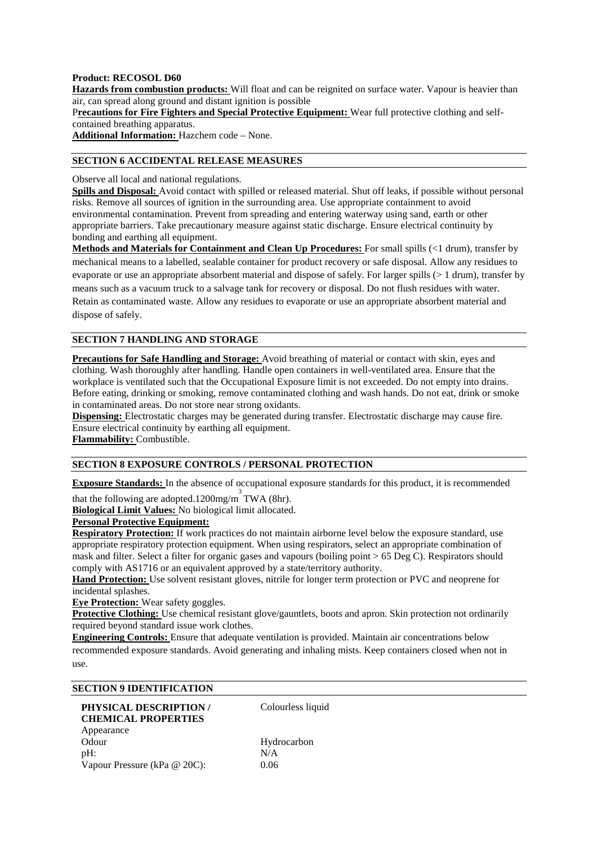## **Product: RECOSOL D60**

**Hazards from combustion products:** Will float and can be reignited on surface water. Vapour is heavier than air, can spread along ground and distant ignition is possible

P**recautions for Fire Fighters and Special Protective Equipment:** Wear full protective clothing and selfcontained breathing apparatus.

**Additional Information:** Hazchem code – None.

## **SECTION 6 ACCIDENTAL RELEASE MEASURES**

Observe all local and national regulations.

**Spills and Disposal:** Avoid contact with spilled or released material. Shut off leaks, if possible without personal risks. Remove all sources of ignition in the surrounding area. Use appropriate containment to avoid environmental contamination. Prevent from spreading and entering waterway using sand, earth or other appropriate barriers. Take precautionary measure against static discharge. Ensure electrical continuity by bonding and earthing all equipment.

**Methods and Materials for Containment and Clean Up Procedures:** For small spills (<1 drum), transfer by mechanical means to a labelled, sealable container for product recovery or safe disposal. Allow any residues to evaporate or use an appropriate absorbent material and dispose of safely. For larger spills (> 1 drum), transfer by means such as a vacuum truck to a salvage tank for recovery or disposal. Do not flush residues with water. Retain as contaminated waste. Allow any residues to evaporate or use an appropriate absorbent material and dispose of safely.

## **SECTION 7 HANDLING AND STORAGE**

**Precautions for Safe Handling and Storage:** Avoid breathing of material or contact with skin, eyes and clothing. Wash thoroughly after handling. Handle open containers in well-ventilated area. Ensure that the workplace is ventilated such that the Occupational Exposure limit is not exceeded. Do not empty into drains. Before eating, drinking or smoking, remove contaminated clothing and wash hands. Do not eat, drink or smoke in contaminated areas. Do not store near strong oxidants.

**Dispensing:** Electrostatic charges may be generated during transfer. Electrostatic discharge may cause fire. Ensure electrical continuity by earthing all equipment.

**Flammability:** Combustible.

## **SECTION 8 EXPOSURE CONTROLS / PERSONAL PROTECTION**

**Exposure Standards:** In the absence of occupational exposure standards for this product, it is recommended

that the following are adopted.1200mg/m<sup>3</sup>TWA (8hr).

**Biological Limit Values:** No biological limit allocated.

# **Personal Protective Equipment:**

**Respiratory Protection:** If work practices do not maintain airborne level below the exposure standard, use appropriate respiratory protection equipment. When using respirators, select an appropriate combination of mask and filter. Select a filter for organic gases and vapours (boiling point > 65 Deg C). Respirators should comply with AS1716 or an equivalent approved by a state/territory authority.

**Hand Protection:** Use solvent resistant gloves, nitrile for longer term protection or PVC and neoprene for incidental splashes.

**Eye Protection:** Wear safety goggles.

**Protective Clothing:** Use chemical resistant glove/gauntlets, boots and apron. Skin protection not ordinarily required beyond standard issue work clothes.

**Engineering Controls:** Ensure that adequate ventilation is provided. Maintain air concentrations below recommended exposure standards. Avoid generating and inhaling mists. Keep containers closed when not in use.

#### **SECTION 9 IDENTIFICATION**

## **PHYSICAL DESCRIPTION / CHEMICAL PROPERTIES**  Appearance Odour Hydrocarbon  $pH$ :  $N/A$ Vapour Pressure (kPa @ 20C): 0.06

Colourless liquid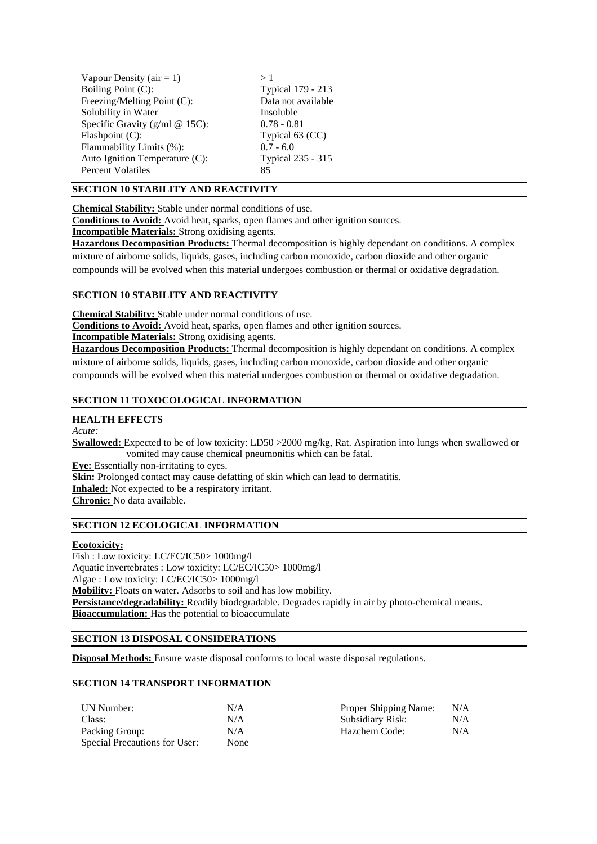| Vapour Density ( $air = 1$ )       | >1                       |
|------------------------------------|--------------------------|
| Boiling Point (C):                 | Typical 179 - 213        |
| Freezing/Melting Point (C):        | Data not available       |
| Solubility in Water                | Insoluble                |
| Specific Gravity ( $g/ml @ 15C$ ): | $0.78 - 0.81$            |
| Flashpoint $(C)$ :                 | Typical 63 (CC)          |
| Flammability Limits (%):           | $0.7 - 6.0$              |
| Auto Ignition Temperature (C):     | <b>Typical 235 - 315</b> |
| <b>Percent Volatiles</b>           | 85                       |

## **SECTION 10 STABILITY AND REACTIVITY**

**Chemical Stability:** Stable under normal conditions of use.

**Conditions to Avoid:** Avoid heat, sparks, open flames and other ignition sources.

## **Incompatible Materials:** Strong oxidising agents.

**Hazardous Decomposition Products:** Thermal decomposition is highly dependant on conditions. A complex mixture of airborne solids, liquids, gases, including carbon monoxide, carbon dioxide and other organic compounds will be evolved when this material undergoes combustion or thermal or oxidative degradation.

# **SECTION 10 STABILITY AND REACTIVITY**

**Chemical Stability:** Stable under normal conditions of use.

**Conditions to Avoid:** Avoid heat, sparks, open flames and other ignition sources.

**Incompatible Materials:** Strong oxidising agents.

**Hazardous Decomposition Products:** Thermal decomposition is highly dependant on conditions. A complex mixture of airborne solids, liquids, gases, including carbon monoxide, carbon dioxide and other organic compounds will be evolved when this material undergoes combustion or thermal or oxidative degradation.

# **SECTION 11 TOXOCOLOGICAL INFORMATION**

## **HEALTH EFFECTS**

*Acute:* 

**Swallowed:** Expected to be of low toxicity: LD50 >2000 mg/kg, Rat. Aspiration into lungs when swallowed or vomited may cause chemical pneumonitis which can be fatal.

**Eye:** Essentially non-irritating to eyes. **Skin:** Prolonged contact may cause defatting of skin which can lead to dermatitis. **Inhaled:** Not expected to be a respiratory irritant. **Chronic:** No data available.

## **SECTION 12 ECOLOGICAL INFORMATION**

## **Ecotoxicity:**

Fish : Low toxicity: LC/EC/IC50> 1000mg/l Aquatic invertebrates : Low toxicity: LC/EC/IC50> 1000mg/l Algae : Low toxicity: LC/EC/IC50> 1000mg/l **Mobility:** Floats on water. Adsorbs to soil and has low mobility. **Persistance/degradability:** Readily biodegradable. Degrades rapidly in air by photo-chemical means. **Bioaccumulation:** Has the potential to bioaccumulate

## **SECTION 13 DISPOSAL CONSIDERATIONS**

**Disposal Methods:** Ensure waste disposal conforms to local waste disposal regulations.

## **SECTION 14 TRANSPORT INFORMATION**

| UN Number:                    | N/A  | Proper Shipping Name: | N/A |
|-------------------------------|------|-----------------------|-----|
| Class:                        | N/A  | Subsidiary Risk:      | N/A |
| Packing Group:                | N/A  | Hazchem Code:         | N/A |
| Special Precautions for User: | None |                       |     |

| Proper Shipping Name: | N/A |
|-----------------------|-----|
| Subsidiary Risk:      | N/A |
| Hazchem Code:         | N/A |